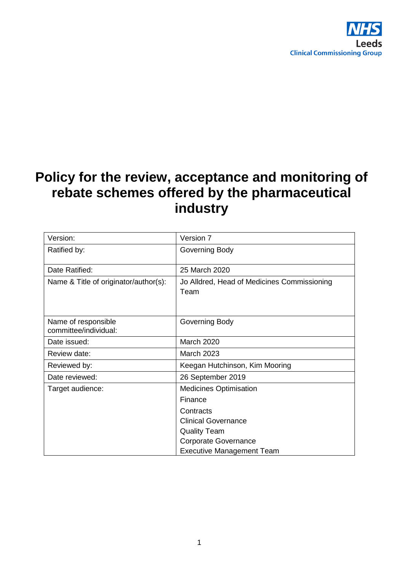

# **Policy for the review, acceptance and monitoring of rebate schemes offered by the pharmaceutical industry**

| Version:                                     | Version 7                                           |
|----------------------------------------------|-----------------------------------------------------|
| Ratified by:                                 | Governing Body                                      |
| Date Ratified:                               | 25 March 2020                                       |
| Name & Title of originator/author(s):        | Jo Alldred, Head of Medicines Commissioning<br>Team |
| Name of responsible<br>committee/individual: | Governing Body                                      |
| Date issued:                                 | <b>March 2020</b>                                   |
| Review date:                                 | <b>March 2023</b>                                   |
| Reviewed by:                                 | Keegan Hutchinson, Kim Mooring                      |
| Date reviewed:                               | 26 September 2019                                   |
| Target audience:                             | <b>Medicines Optimisation</b>                       |
|                                              | Finance                                             |
|                                              | Contracts                                           |
|                                              | <b>Clinical Governance</b>                          |
|                                              | <b>Quality Team</b>                                 |
|                                              | <b>Corporate Governance</b>                         |
|                                              | <b>Executive Management Team</b>                    |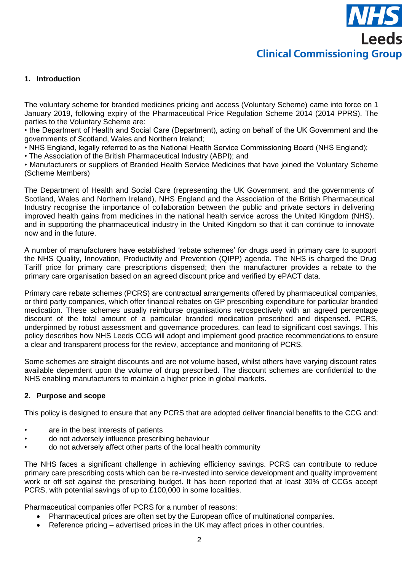#### **1. Introduction**

The voluntary scheme for branded medicines pricing and access (Voluntary Scheme) came into force on 1 January 2019, following expiry of the Pharmaceutical Price Regulation Scheme 2014 (2014 PPRS). The parties to the Voluntary Scheme are:

• the Department of Health and Social Care (Department), acting on behalf of the UK Government and the governments of Scotland, Wales and Northern Ireland;

• NHS England, legally referred to as the National Health Service Commissioning Board (NHS England);

• The Association of the British Pharmaceutical Industry (ABPI); and

• Manufacturers or suppliers of Branded Health Service Medicines that have joined the Voluntary Scheme (Scheme Members)

The Department of Health and Social Care (representing the UK Government, and the governments of Scotland, Wales and Northern Ireland), NHS England and the Association of the British Pharmaceutical Industry recognise the importance of collaboration between the public and private sectors in delivering improved health gains from medicines in the national health service across the United Kingdom (NHS), and in supporting the pharmaceutical industry in the United Kingdom so that it can continue to innovate now and in the future.

A number of manufacturers have established 'rebate schemes' for drugs used in primary care to support the NHS Quality, Innovation, Productivity and Prevention (QIPP) agenda. The NHS is charged the Drug Tariff price for primary care prescriptions dispensed; then the manufacturer provides a rebate to the primary care organisation based on an agreed discount price and verified by ePACT data.

Primary care rebate schemes (PCRS) are contractual arrangements offered by pharmaceutical companies, or third party companies, which offer financial rebates on GP prescribing expenditure for particular branded medication. These schemes usually reimburse organisations retrospectively with an agreed percentage discount of the total amount of a particular branded medication prescribed and dispensed. PCRS, underpinned by robust assessment and governance procedures, can lead to significant cost savings. This policy describes how NHS Leeds CCG will adopt and implement good practice recommendations to ensure a clear and transparent process for the review, acceptance and monitoring of PCRS.

Some schemes are straight discounts and are not volume based, whilst others have varying discount rates available dependent upon the volume of drug prescribed. The discount schemes are confidential to the NHS enabling manufacturers to maintain a higher price in global markets.

#### **2. Purpose and scope**

This policy is designed to ensure that any PCRS that are adopted deliver financial benefits to the CCG and:

- are in the best interests of patients
- do not adversely influence prescribing behaviour
- do not adversely affect other parts of the local health community

The NHS faces a significant challenge in achieving efficiency savings. PCRS can contribute to reduce primary care prescribing costs which can be re-invested into service development and quality improvement work or off set against the prescribing budget. It has been reported that at least 30% of CCGs accept PCRS, with potential savings of up to £100,000 in some localities.

Pharmaceutical companies offer PCRS for a number of reasons:

- Pharmaceutical prices are often set by the European office of multinational companies.
- Reference pricing advertised prices in the UK may affect prices in other countries.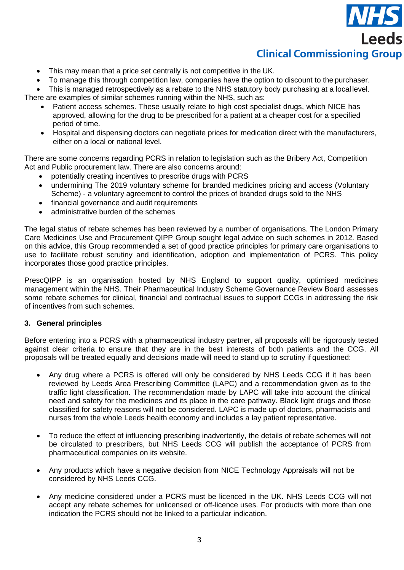# **Leeds Clinical Commissioning Group**

- This may mean that a price set centrally is not competitive in the UK.
- To manage this through competition law, companies have the option to discount to the purchaser.

This is managed retrospectively as a rebate to the NHS statutory body purchasing at a local level.

There are examples of similar schemes running within the NHS, such as:

- Patient access schemes. These usually relate to high cost specialist drugs, which NICE has approved, allowing for the drug to be prescribed for a patient at a cheaper cost for a specified period of time.
- Hospital and dispensing doctors can negotiate prices for medication direct with the manufacturers, either on a local or national level.

There are some concerns regarding PCRS in relation to legislation such as the Bribery Act, Competition Act and Public procurement law. There are also concerns around:

- potentially creating incentives to prescribe drugs with PCRS
- undermining The 2019 voluntary scheme for branded medicines pricing and access (Voluntary Scheme) - a voluntary agreement to control the prices of branded drugs sold to the NHS
- financial governance and audit requirements
- administrative burden of the schemes

The legal status of rebate schemes has been reviewed by a number of organisations. The London Primary Care Medicines Use and Procurement QIPP Group sought legal advice on such schemes in 2012. Based on this advice, this Group recommended a set of good practice principles for primary care organisations to use to facilitate robust scrutiny and identification, adoption and implementation of PCRS. This policy incorporates those good practice principles.

PrescQIPP is an organisation hosted by NHS England to support quality, optimised medicines management within the NHS. Their Pharmaceutical Industry Scheme Governance Review Board assesses some rebate schemes for clinical, financial and contractual issues to support CCGs in addressing the risk of incentives from such schemes.

#### **3. General principles**

Before entering into a PCRS with a pharmaceutical industry partner, all proposals will be rigorously tested against clear criteria to ensure that they are in the best interests of both patients and the CCG. All proposals will be treated equally and decisions made will need to stand up to scrutiny if questioned:

- Any drug where a PCRS is offered will only be considered by NHS Leeds CCG if it has been reviewed by Leeds Area Prescribing Committee (LAPC) and a recommendation given as to the traffic light classification. The recommendation made by LAPC will take into account the clinical need and safety for the medicines and its place in the care pathway. Black light drugs and those classified for safety reasons will not be considered. LAPC is made up of doctors, pharmacists and nurses from the whole Leeds health economy and includes a lay patient representative.
- To reduce the effect of influencing prescribing inadvertently, the details of rebate schemes will not be circulated to prescribers, but NHS Leeds CCG will publish the acceptance of PCRS from pharmaceutical companies on its website.
- Any products which have a negative decision from NICE Technology Appraisals will not be considered by NHS Leeds CCG.
- Any medicine considered under a PCRS must be licenced in the UK. NHS Leeds CCG will not accept any rebate schemes for unlicensed or off-licence uses. For products with more than one indication the PCRS should not be linked to a particular indication.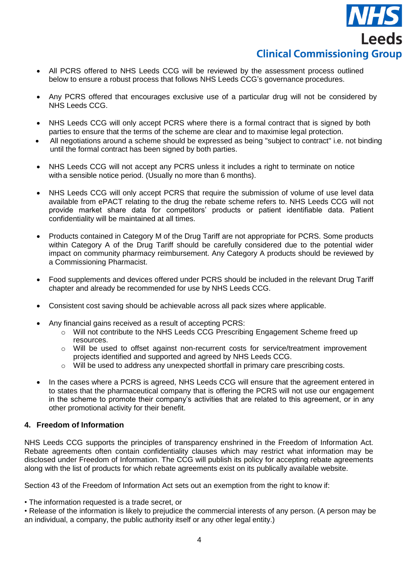

- All PCRS offered to NHS Leeds CCG will be reviewed by the assessment process outlined below to ensure a robust process that follows NHS Leeds CCG's governance procedures.
- Any PCRS offered that encourages exclusive use of a particular drug will not be considered by NHS Leeds CCG.
- NHS Leeds CCG will only accept PCRS where there is a formal contract that is signed by both parties to ensure that the terms of the scheme are clear and to maximise legal protection.
- All negotiations around a scheme should be expressed as being "subject to contract" i.e. not binding until the formal contract has been signed by both parties.
- NHS Leeds CCG will not accept any PCRS unless it includes a right to terminate on notice with a sensible notice period. (Usually no more than 6 months).
- NHS Leeds CCG will only accept PCRS that require the submission of volume of use level data available from ePACT relating to the drug the rebate scheme refers to. NHS Leeds CCG will not provide market share data for competitors' products or patient identifiable data. Patient confidentiality will be maintained at all times.
- Products contained in Category M of the Drug Tariff are not appropriate for PCRS. Some products within Category A of the Drug Tariff should be carefully considered due to the potential wider impact on community pharmacy reimbursement. Any Category A products should be reviewed by a Commissioning Pharmacist.
- Food supplements and devices offered under PCRS should be included in the relevant Drug Tariff chapter and already be recommended for use by NHS Leeds CCG.
- Consistent cost saving should be achievable across all pack sizes where applicable.
- Any financial gains received as a result of accepting PCRS:
	- o Will not contribute to the NHS Leeds CCG Prescribing Engagement Scheme freed up resources.
	- o Will be used to offset against non-recurrent costs for service/treatment improvement projects identified and supported and agreed by NHS Leeds CCG.
	- $\circ$  Will be used to address any unexpected shortfall in primary care prescribing costs.
- In the cases where a PCRS is agreed, NHS Leeds CCG will ensure that the agreement entered in to states that the pharmaceutical company that is offering the PCRS will not use our engagement in the scheme to promote their company's activities that are related to this agreement, or in any other promotional activity for their benefit.

#### **4. Freedom of Information**

NHS Leeds CCG supports the principles of transparency enshrined in the Freedom of Information Act. Rebate agreements often contain confidentiality clauses which may restrict what information may be disclosed under Freedom of Information. The CCG will publish its policy for accepting rebate agreements along with the list of products for which rebate agreements exist on its publically available website.

Section 43 of the Freedom of Information Act sets out an exemption from the right to know if:

• The information requested is a trade secret, or

• Release of the information is likely to prejudice the commercial interests of any person. (A person may be an individual, a company, the public authority itself or any other legal entity.)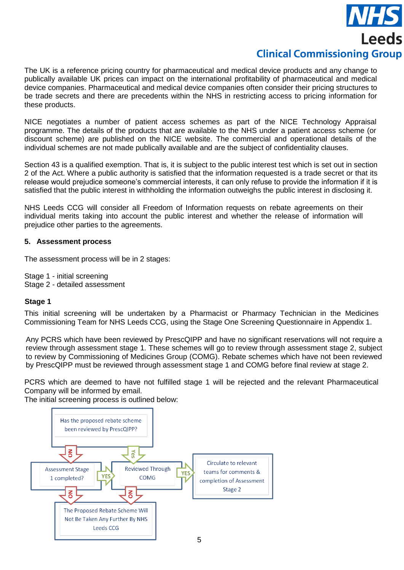# **Leeds Clinical Commissioning Group**

The UK is a reference pricing country for pharmaceutical and medical device products and any change to publically available UK prices can impact on the international profitability of pharmaceutical and medical device companies. Pharmaceutical and medical device companies often consider their pricing structures to be trade secrets and there are precedents within the NHS in restricting access to pricing information for these products.

NICE negotiates a number of patient access schemes as part of the NICE Technology Appraisal programme. The details of the products that are available to the NHS under a patient access scheme (or discount scheme) are published on the NICE website. The commercial and operational details of the individual schemes are not made publically available and are the subject of confidentiality clauses.

Section 43 is a qualified exemption. That is, it is subject to the public interest test which is set out in section 2 of the Act. Where a public authority is satisfied that the information requested is a trade secret or that its release would prejudice someone's commercial interests, it can only refuse to provide the information if it is satisfied that the public interest in withholding the information outweighs the public interest in disclosing it.

NHS Leeds CCG will consider all Freedom of Information requests on rebate agreements on their individual merits taking into account the public interest and whether the release of information will prejudice other parties to the agreements.

#### **5. Assessment process**

The assessment process will be in 2 stages:

Stage 1 - initial screening Stage 2 - detailed assessment

#### **Stage 1**

This initial screening will be undertaken by a Pharmacist or Pharmacy Technician in the Medicines Commissioning Team for NHS Leeds CCG, using the Stage One Screening Questionnaire in Appendix 1.

Any PCRS which have been reviewed by PrescQIPP and have no significant reservations will not require a review through assessment stage 1. These schemes will go to review through assessment stage 2, subject to review by Commissioning of Medicines Group (COMG). Rebate schemes which have not been reviewed by PrescQIPP must be reviewed through assessment stage 1 and COMG before final review at stage 2.

PCRS which are deemed to have not fulfilled stage 1 will be rejected and the relevant Pharmaceutical Company will be informed by email.

The initial screening process is outlined below:

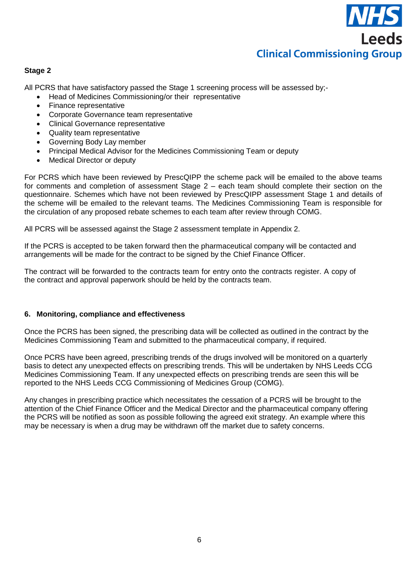

#### **Stage 2**

All PCRS that have satisfactory passed the Stage 1 screening process will be assessed by;-

- Head of Medicines Commissioning/or their representative
- Finance representative
- Corporate Governance team representative
- Clinical Governance representative
- Quality team representative
- Governing Body Lay member
- Principal Medical Advisor for the Medicines Commissioning Team or deputy
- Medical Director or deputy

For PCRS which have been reviewed by PrescQIPP the scheme pack will be emailed to the above teams for comments and completion of assessment Stage 2 – each team should complete their section on the questionnaire. Schemes which have not been reviewed by PrescQIPP assessment Stage 1 and details of the scheme will be emailed to the relevant teams. The Medicines Commissioning Team is responsible for the circulation of any proposed rebate schemes to each team after review through COMG.

All PCRS will be assessed against the Stage 2 assessment template in Appendix 2.

If the PCRS is accepted to be taken forward then the pharmaceutical company will be contacted and arrangements will be made for the contract to be signed by the Chief Finance Officer.

The contract will be forwarded to the contracts team for entry onto the contracts register. A copy of the contract and approval paperwork should be held by the contracts team.

#### **6. Monitoring, compliance and effectiveness**

Once the PCRS has been signed, the prescribing data will be collected as outlined in the contract by the Medicines Commissioning Team and submitted to the pharmaceutical company, if required.

Once PCRS have been agreed, prescribing trends of the drugs involved will be monitored on a quarterly basis to detect any unexpected effects on prescribing trends. This will be undertaken by NHS Leeds CCG Medicines Commissioning Team. If any unexpected effects on prescribing trends are seen this will be reported to the NHS Leeds CCG Commissioning of Medicines Group (COMG).

Any changes in prescribing practice which necessitates the cessation of a PCRS will be brought to the attention of the Chief Finance Officer and the Medical Director and the pharmaceutical company offering the PCRS will be notified as soon as possible following the agreed exit strategy. An example where this may be necessary is when a drug may be withdrawn off the market due to safety concerns.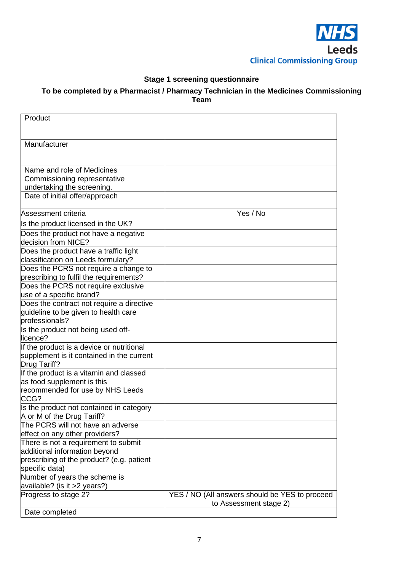

### **Stage 1 screening questionnaire**

#### **To be completed by a Pharmacist / Pharmacy Technician in the Medicines Commissioning Team**

| Product                                                     |                                                |
|-------------------------------------------------------------|------------------------------------------------|
|                                                             |                                                |
| Manufacturer                                                |                                                |
|                                                             |                                                |
| Name and role of Medicines                                  |                                                |
| Commissioning representative                                |                                                |
| undertaking the screening.                                  |                                                |
| Date of initial offer/approach                              |                                                |
|                                                             |                                                |
| Assessment criteria                                         | Yes / No                                       |
| Is the product licensed in the UK?                          |                                                |
| Does the product not have a negative                        |                                                |
| decision from NICE?                                         |                                                |
| Does the product have a traffic light                       |                                                |
| classification on Leeds formulary?                          |                                                |
| Does the PCRS not require a change to                       |                                                |
| prescribing to fulfil the requirements?                     |                                                |
| Does the PCRS not require exclusive                         |                                                |
| use of a specific brand?                                    |                                                |
| Does the contract not require a directive                   |                                                |
| guideline to be given to health care                        |                                                |
| professionals?                                              |                                                |
| Is the product not being used off-<br>licence?              |                                                |
| If the product is a device or nutritional                   |                                                |
| supplement is it contained in the current                   |                                                |
| Drug Tariff?                                                |                                                |
| If the product is a vitamin and classed                     |                                                |
| as food supplement is this                                  |                                                |
| recommended for use by NHS Leeds                            |                                                |
| CCG?                                                        |                                                |
| Is the product not contained in category                    |                                                |
| A or M of the Drug Tariff?                                  |                                                |
| The PCRS will not have an adverse                           |                                                |
| effect on any other providers?                              |                                                |
| There is not a requirement to submit                        |                                                |
| additional information beyond                               |                                                |
| prescribing of the product? (e.g. patient<br>specific data) |                                                |
| Number of years the scheme is                               |                                                |
| available? (is it >2 years?)                                |                                                |
| Progress to stage 2?                                        | YES / NO (All answers should be YES to proceed |
|                                                             | to Assessment stage 2)                         |
| Date completed                                              |                                                |
|                                                             |                                                |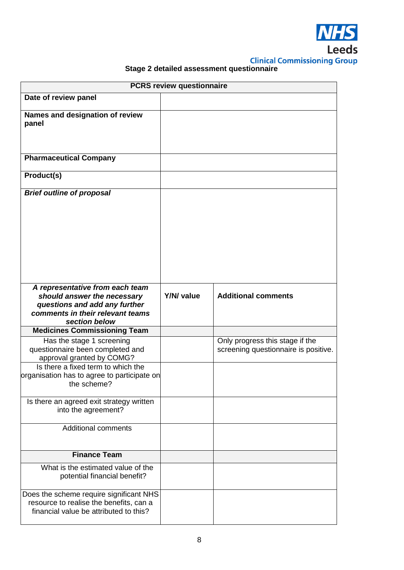

# **Stage 2 detailed assessment questionnaire**

| <b>PCRS review questionnaire</b>                                                                                                                     |            |                                                                         |
|------------------------------------------------------------------------------------------------------------------------------------------------------|------------|-------------------------------------------------------------------------|
| Date of review panel                                                                                                                                 |            |                                                                         |
| Names and designation of review<br>panel                                                                                                             |            |                                                                         |
| <b>Pharmaceutical Company</b>                                                                                                                        |            |                                                                         |
| Product(s)                                                                                                                                           |            |                                                                         |
| <b>Brief outline of proposal</b>                                                                                                                     |            |                                                                         |
| A representative from each team<br>should answer the necessary<br>questions and add any further<br>comments in their relevant teams<br>section below | Y/N/ value | <b>Additional comments</b>                                              |
| <b>Medicines Commissioning Team</b>                                                                                                                  |            |                                                                         |
| Has the stage 1 screening<br>questionnaire been completed and<br>approval granted by COMG?                                                           |            | Only progress this stage if the<br>screening questionnaire is positive. |
| Is there a fixed term to which the<br>organisation has to agree to participate on<br>the scheme?                                                     |            |                                                                         |
| Is there an agreed exit strategy written<br>into the agreement?                                                                                      |            |                                                                         |
| <b>Additional comments</b>                                                                                                                           |            |                                                                         |
| <b>Finance Team</b>                                                                                                                                  |            |                                                                         |
| What is the estimated value of the<br>potential financial benefit?                                                                                   |            |                                                                         |
| Does the scheme require significant NHS<br>resource to realise the benefits, can a<br>financial value be attributed to this?                         |            |                                                                         |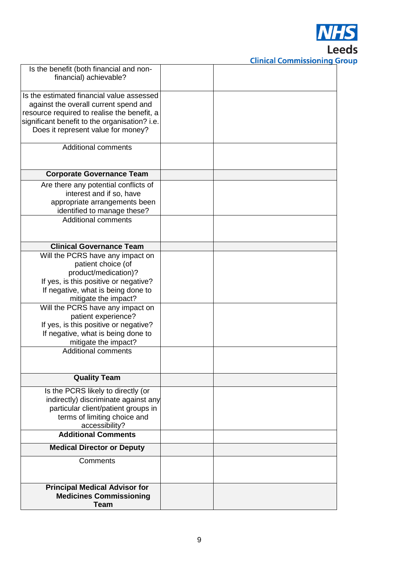

**Clinical Commissioning Group** 

| Is the benefit (both financial and non-       |  |
|-----------------------------------------------|--|
| financial) achievable?                        |  |
| Is the estimated financial value assessed     |  |
| against the overall current spend and         |  |
| resource required to realise the benefit, a   |  |
| significant benefit to the organisation? i.e. |  |
| Does it represent value for money?            |  |
|                                               |  |
| <b>Additional comments</b>                    |  |
|                                               |  |
| <b>Corporate Governance Team</b>              |  |
| Are there any potential conflicts of          |  |
| interest and if so, have                      |  |
| appropriate arrangements been                 |  |
| identified to manage these?                   |  |
| <b>Additional comments</b>                    |  |
|                                               |  |
| <b>Clinical Governance Team</b>               |  |
| Will the PCRS have any impact on              |  |
| patient choice (of                            |  |
| product/medication)?                          |  |
| If yes, is this positive or negative?         |  |
| If negative, what is being done to            |  |
| mitigate the impact?                          |  |
| Will the PCRS have any impact on              |  |
| patient experience?                           |  |
| If yes, is this positive or negative?         |  |
| If negative, what is being done to            |  |
| mitigate the impact?                          |  |
| <b>Additional comments</b>                    |  |
|                                               |  |
|                                               |  |
| <b>Quality Team</b>                           |  |
| Is the PCRS likely to directly (or            |  |
| indirectly) discriminate against any          |  |
| particular client/patient groups in           |  |
| terms of limiting choice and                  |  |
| accessibility?<br><b>Additional Comments</b>  |  |
|                                               |  |
| <b>Medical Director or Deputy</b>             |  |
| Comments                                      |  |
|                                               |  |
| <b>Principal Medical Advisor for</b>          |  |
| <b>Medicines Commissioning</b>                |  |
| <b>Team</b>                                   |  |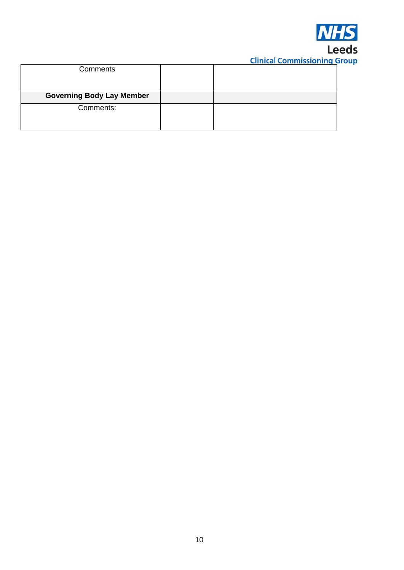

# **Clinical Commissioning Group**

| Comments                         |  |
|----------------------------------|--|
|                                  |  |
| <b>Governing Body Lay Member</b> |  |
| Comments:                        |  |
|                                  |  |